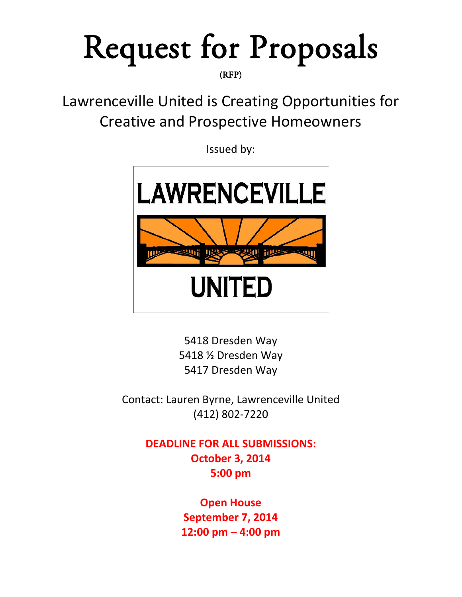# Request for Proposals

Lawrenceville United is Creating Opportunities for Creative and Prospective Homeowners

Issued by:



5418 Dresden Way 5418 ½ Dresden Way 5417 Dresden Way

Contact: Lauren Byrne, Lawrenceville United (412) 802-7220

> **DEADLINE FOR ALL SUBMISSIONS: October 3, 2014 5:00 pm**

> > **Open House September 7, 2014 12:00 pm – 4:00 pm**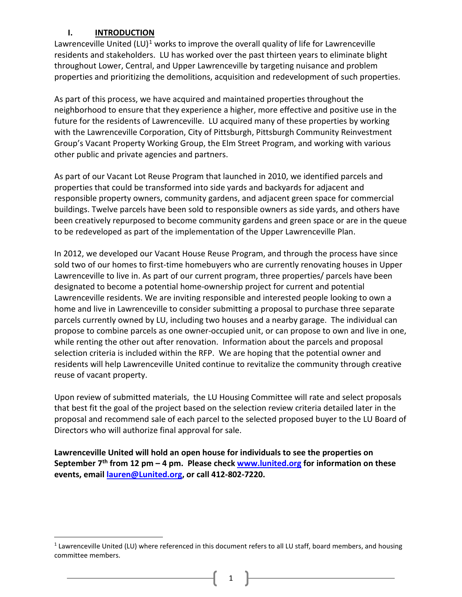## **I. INTRODUCTION**

 $\overline{\phantom{a}}$ 

Lawrenceville United  $(LU)^1$  $(LU)^1$  works to improve the overall quality of life for Lawrenceville residents and stakeholders. LU has worked over the past thirteen years to eliminate blight throughout Lower, Central, and Upper Lawrenceville by targeting nuisance and problem properties and prioritizing the demolitions, acquisition and redevelopment of such properties.

As part of this process, we have acquired and maintained properties throughout the neighborhood to ensure that they experience a higher, more effective and positive use in the future for the residents of Lawrenceville. LU acquired many of these properties by working with the Lawrenceville Corporation, City of Pittsburgh, Pittsburgh Community Reinvestment Group's Vacant Property Working Group, the Elm Street Program, and working with various other public and private agencies and partners.

As part of our Vacant Lot Reuse Program that launched in 2010, we identified parcels and properties that could be transformed into side yards and backyards for adjacent and responsible property owners, community gardens, and adjacent green space for commercial buildings. Twelve parcels have been sold to responsible owners as side yards, and others have been creatively repurposed to become community gardens and green space or are in the queue to be redeveloped as part of the implementation of the Upper Lawrenceville Plan.

In 2012, we developed our Vacant House Reuse Program, and through the process have since sold two of our homes to first-time homebuyers who are currently renovating houses in Upper Lawrenceville to live in. As part of our current program, three properties/ parcels have been designated to become a potential home-ownership project for current and potential Lawrenceville residents. We are inviting responsible and interested people looking to own a home and live in Lawrenceville to consider submitting a proposal to purchase three separate parcels currently owned by LU, including two houses and a nearby garage. The individual can propose to combine parcels as one owner-occupied unit, or can propose to own and live in one, while renting the other out after renovation. Information about the parcels and proposal selection criteria is included within the RFP. We are hoping that the potential owner and residents will help Lawrenceville United continue to revitalize the community through creative reuse of vacant property.

Upon review of submitted materials, the LU Housing Committee will rate and select proposals that best fit the goal of the project based on the selection review criteria detailed later in the proposal and recommend sale of each parcel to the selected proposed buyer to the LU Board of Directors who will authorize final approval for sale.

**Lawrenceville United will hold an open house for individuals to see the properties on September 7th from 12 pm – 4 pm. Please check [www.lunited.org](http://www.lunited.org/) for information on these events, email [lauren@Lunited.org,](mailto:lauren@Lunited.org) or call 412-802-7220.** 

1

<span id="page-1-0"></span> $1$  Lawrenceville United (LU) where referenced in this document refers to all LU staff, board members, and housing committee members.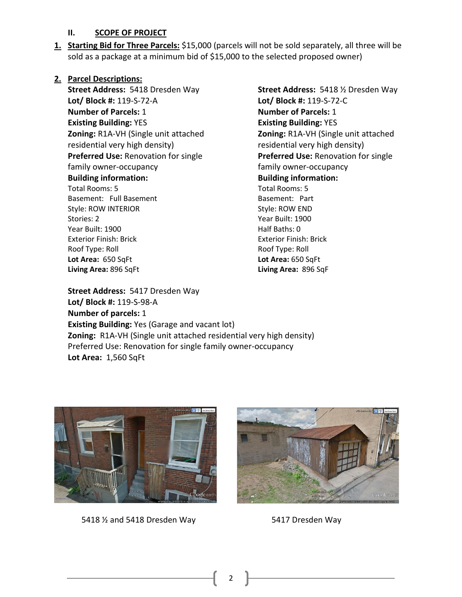#### **II. SCOPE OF PROJECT**

**1. Starting Bid for Three Parcels:** \$15,000 (parcels will not be sold separately, all three will be sold as a package at a minimum bid of \$15,000 to the selected proposed owner)

#### **2. Parcel Descriptions:**

**Street Address:** 5418 Dresden Way **Lot/ Block #:** 119-S-72-A **Number of Parcels:** 1 **Existing Building:** YES **Zoning:** R1A-VH (Single unit attached residential very high density) **Preferred Use:** Renovation for single family owner-occupancy **Building information:**  Total Rooms: 5 Basement: Full Basement Style: ROW INTERIOR Stories: 2 Year Built: 1900 Exterior Finish: Brick Roof Type: Roll **Lot Area:** 650 SqFt **Living Area:** 896 SqFt

**Street Address:** 5418 ½ Dresden Way **Lot/ Block #:** 119-S-72-C **Number of Parcels:** 1 **Existing Building:** YES **Zoning:** R1A-VH (Single unit attached residential very high density) **Preferred Use:** Renovation for single family owner-occupancy **Building information:**  Total Rooms: 5 Basement: Part Style: ROW END Year Built: 1900 Half Baths: 0 Exterior Finish: Brick Roof Type: Roll **Lot Area:** 650 SqFt **Living Area:** 896 SqF

**Street Address:** 5417 Dresden Way **Lot/ Block #:** 119-S-98-A **Number of parcels:** 1 **Existing Building:** Yes (Garage and vacant lot) **Zoning:** R1A-VH (Single unit attached residential very high density) Preferred Use: Renovation for single family owner-occupancy **Lot Area:** 1,560 SqFt



5418 1/2 and 5418 Dresden Way 5417 Dresden Way



2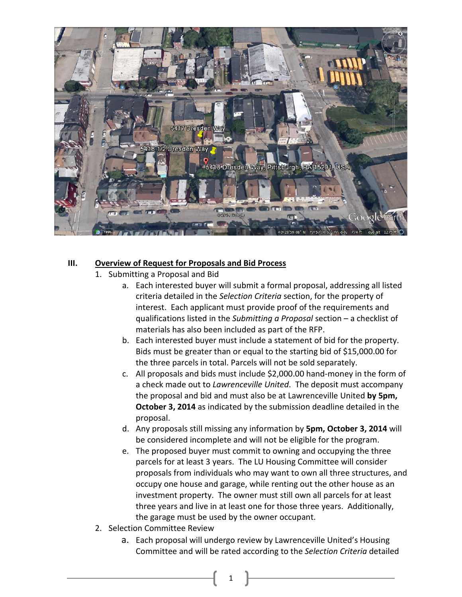

### **III. Overview of Request for Proposals and Bid Process**

- 1. Submitting a Proposal and Bid
	- a. Each interested buyer will submit a formal proposal, addressing all listed criteria detailed in the *Selection Criteria* section, for the property of interest. Each applicant must provide proof of the requirements and qualifications listed in the *Submitting a Proposal* section – a checklist of materials has also been included as part of the RFP.
	- b. Each interested buyer must include a statement of bid for the property. Bids must be greater than or equal to the starting bid of \$15,000.00 for the three parcels in total. Parcels will not be sold separately.
	- c. All proposals and bids must include \$2,000.00 hand-money in the form of a check made out to *Lawrenceville United*. The deposit must accompany the proposal and bid and must also be at Lawrenceville United **by 5pm, October 3, 2014** as indicated by the submission deadline detailed in the proposal.
	- d. Any proposals still missing any information by **5pm, October 3, 2014** will be considered incomplete and will not be eligible for the program.
	- e. The proposed buyer must commit to owning and occupying the three parcels for at least 3 years. The LU Housing Committee will consider proposals from individuals who may want to own all three structures, and occupy one house and garage, while renting out the other house as an investment property. The owner must still own all parcels for at least three years and live in at least one for those three years. Additionally, the garage must be used by the owner occupant.
- 2. Selection Committee Review
	- a. Each proposal will undergo review by Lawrenceville United's Housing Committee and will be rated according to the *Selection Criteria* detailed

1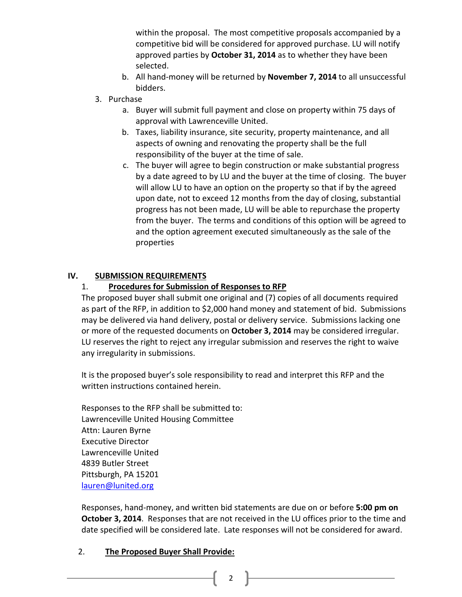within the proposal. The most competitive proposals accompanied by a competitive bid will be considered for approved purchase. LU will notify approved parties by **October 31, 2014** as to whether they have been selected.

- b. All hand-money will be returned by **November 7, 2014** to all unsuccessful bidders.
- 3. Purchase
	- a. Buyer will submit full payment and close on property within 75 days of approval with Lawrenceville United.
	- b. Taxes, liability insurance, site security, property maintenance, and all aspects of owning and renovating the property shall be the full responsibility of the buyer at the time of sale.
	- c. The buyer will agree to begin construction or make substantial progress by a date agreed to by LU and the buyer at the time of closing. The buyer will allow LU to have an option on the property so that if by the agreed upon date, not to exceed 12 months from the day of closing, substantial progress has not been made, LU will be able to repurchase the property from the buyer. The terms and conditions of this option will be agreed to and the option agreement executed simultaneously as the sale of the properties

# **IV. SUBMISSION REQUIREMENTS**

# 1. **Procedures for Submission of Responses to RFP**

The proposed buyer shall submit one original and (7) copies of all documents required as part of the RFP, in addition to \$2,000 hand money and statement of bid. Submissions may be delivered via hand delivery, postal or delivery service. Submissions lacking one or more of the requested documents on **October 3, 2014** may be considered irregular. LU reserves the right to reject any irregular submission and reserves the right to waive any irregularity in submissions.

It is the proposed buyer's sole responsibility to read and interpret this RFP and the written instructions contained herein.

Responses to the RFP shall be submitted to: Lawrenceville United Housing Committee Attn: Lauren Byrne Executive Director Lawrenceville United 4839 Butler Street Pittsburgh, PA 15201 [lauren@lunited.org](mailto:lauren@lunited.org)

Responses, hand-money, and written bid statements are due on or before **5:00 pm on October 3, 2014**. Responses that are not received in the LU offices prior to the time and date specified will be considered late. Late responses will not be considered for award.

# 2. **The Proposed Buyer Shall Provide:**

2  $\parallel$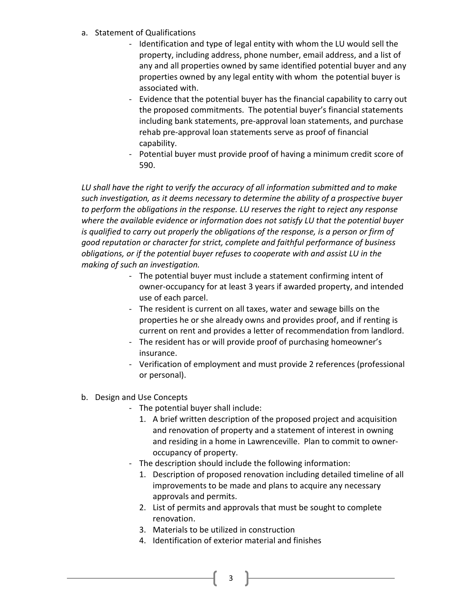- a. Statement of Qualifications
	- Identification and type of legal entity with whom the LU would sell the property, including address, phone number, email address, and a list of any and all properties owned by same identified potential buyer and any properties owned by any legal entity with whom the potential buyer is associated with.
	- Evidence that the potential buyer has the financial capability to carry out the proposed commitments. The potential buyer's financial statements including bank statements, pre-approval loan statements, and purchase rehab pre-approval loan statements serve as proof of financial capability.
	- Potential buyer must provide proof of having a minimum credit score of 590.

*LU shall have the right to verify the accuracy of all information submitted and to make such investigation, as it deems necessary to determine the ability of a prospective buyer to perform the obligations in the response. LU reserves the right to reject any response where the available evidence or information does not satisfy LU that the potential buyer*  is qualified to carry out properly the obligations of the response, is a person or firm of *good reputation or character for strict, complete and faithful performance of business obligations, or if the potential buyer refuses to cooperate with and assist LU in the making of such an investigation.* 

- The potential buyer must include a statement confirming intent of owner-occupancy for at least 3 years if awarded property, and intended use of each parcel.
- The resident is current on all taxes, water and sewage bills on the properties he or she already owns and provides proof, and if renting is current on rent and provides a letter of recommendation from landlord.
- The resident has or will provide proof of purchasing homeowner's insurance.
- Verification of employment and must provide 2 references (professional or personal).
- b. Design and Use Concepts
	- The potential buyer shall include:
		- 1. A brief written description of the proposed project and acquisition and renovation of property and a statement of interest in owning and residing in a home in Lawrenceville. Plan to commit to owneroccupancy of property.
	- The description should include the following information:
		- 1. Description of proposed renovation including detailed timeline of all improvements to be made and plans to acquire any necessary approvals and permits.
		- 2. List of permits and approvals that must be sought to complete renovation.
		- 3. Materials to be utilized in construction
		- 4. Identification of exterior material and finishes
			- $3 \mid$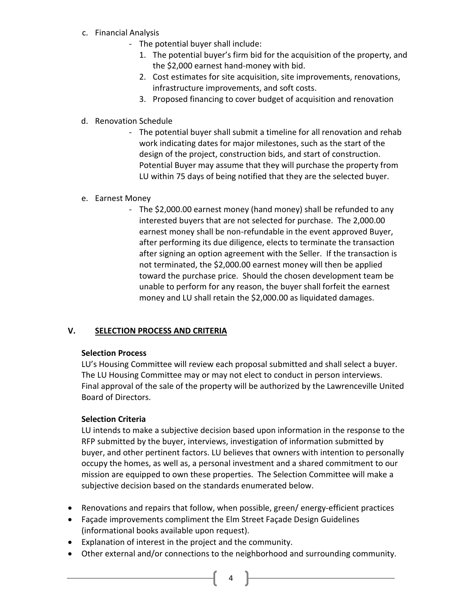- c. Financial Analysis
	- The potential buyer shall include:
		- 1. The potential buyer's firm bid for the acquisition of the property, and the \$2,000 earnest hand-money with bid.
		- 2. Cost estimates for site acquisition, site improvements, renovations, infrastructure improvements, and soft costs.
		- 3. Proposed financing to cover budget of acquisition and renovation
- d. Renovation Schedule
	- The potential buyer shall submit a timeline for all renovation and rehab work indicating dates for major milestones, such as the start of the design of the project, construction bids, and start of construction. Potential Buyer may assume that they will purchase the property from LU within 75 days of being notified that they are the selected buyer.
- e. Earnest Money
	- The \$2,000.00 earnest money (hand money) shall be refunded to any interested buyers that are not selected for purchase. The 2,000.00 earnest money shall be non-refundable in the event approved Buyer, after performing its due diligence, elects to terminate the transaction after signing an option agreement with the Seller. If the transaction is not terminated, the \$2,000.00 earnest money will then be applied toward the purchase price. Should the chosen development team be unable to perform for any reason, the buyer shall forfeit the earnest money and LU shall retain the \$2,000.00 as liquidated damages.

# **V. SELECTION PROCESS AND CRITERIA**

### **Selection Process**

LU's Housing Committee will review each proposal submitted and shall select a buyer. The LU Housing Committee may or may not elect to conduct in person interviews. Final approval of the sale of the property will be authorized by the Lawrenceville United Board of Directors.

### **Selection Criteria**

LU intends to make a subjective decision based upon information in the response to the RFP submitted by the buyer, interviews, investigation of information submitted by buyer, and other pertinent factors. LU believes that owners with intention to personally occupy the homes, as well as, a personal investment and a shared commitment to our mission are equipped to own these properties. The Selection Committee will make a subjective decision based on the standards enumerated below.

- Renovations and repairs that follow, when possible, green/ energy-efficient practices
- Façade improvements compliment the Elm Street Façade Design Guidelines (informational books available upon request).
- Explanation of interest in the project and the community.
- Other external and/or connections to the neighborhood and surrounding community.
	- $4$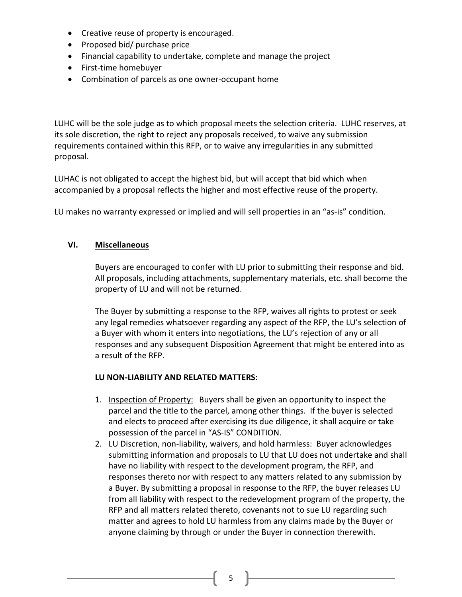- Creative reuse of property is encouraged.
- Proposed bid/ purchase price
- Financial capability to undertake, complete and manage the project
- First-time homebuyer
- Combination of parcels as one owner-occupant home

LUHC will be the sole judge as to which proposal meets the selection criteria. LUHC reserves, at its sole discretion, the right to reject any proposals received, to waive any submission requirements contained within this RFP, or to waive any irregularities in any submitted proposal.

LUHAC is not obligated to accept the highest bid, but will accept that bid which when accompanied by a proposal reflects the higher and most effective reuse of the property.

LU makes no warranty expressed or implied and will sell properties in an "as-is" condition.

# **VI. Miscellaneous**

Buyers are encouraged to confer with LU prior to submitting their response and bid. All proposals, including attachments, supplementary materials, etc. shall become the property of LU and will not be returned.

The Buyer by submitting a response to the RFP, waives all rights to protest or seek any legal remedies whatsoever regarding any aspect of the RFP, the LU's selection of a Buyer with whom it enters into negotiations, the LU's rejection of any or all responses and any subsequent Disposition Agreement that might be entered into as a result of the RFP.

### **LU NON-LIABILITY AND RELATED MATTERS:**

- 1. Inspection of Property: Buyers shall be given an opportunity to inspect the parcel and the title to the parcel, among other things. If the buyer is selected and elects to proceed after exercising its due diligence, it shall acquire or take possession of the parcel in "AS-IS" CONDITION.
- 2. LU Discretion, non-liability, waivers, and hold harmless: Buyer acknowledges submitting information and proposals to LU that LU does not undertake and shall have no liability with respect to the development program, the RFP, and responses thereto nor with respect to any matters related to any submission by a Buyer. By submitting a proposal in response to the RFP, the buyer releases LU from all liability with respect to the redevelopment program of the property, the RFP and all matters related thereto, covenants not to sue LU regarding such matter and agrees to hold LU harmless from any claims made by the Buyer or anyone claiming by through or under the Buyer in connection therewith.

 $5$  |